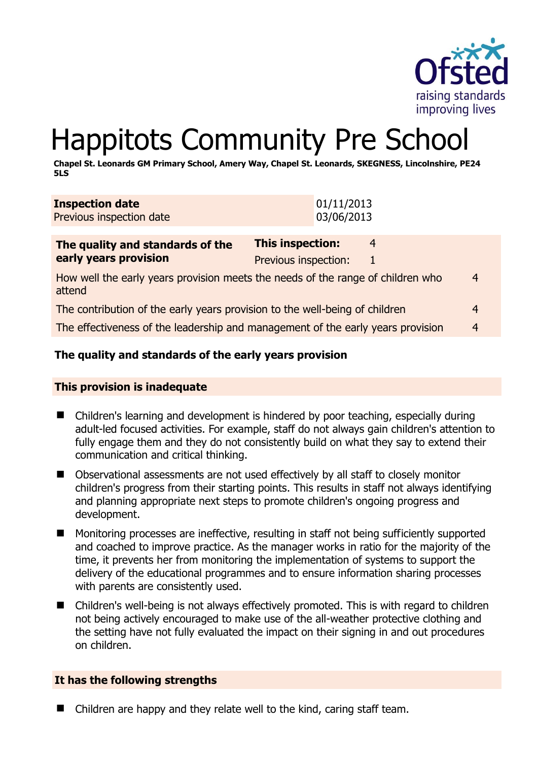

# Happitots Community Pre School

**Chapel St. Leonards GM Primary School, Amery Way, Chapel St. Leonards, SKEGNESS, Lincolnshire, PE24 5LS** 

| <b>Inspection date</b><br>Previous inspection date | 01/11/2013<br>03/06/2013 |   |  |
|----------------------------------------------------|--------------------------|---|--|
| The quality and standards of the                   | This inspection:         | 4 |  |
| early years provision                              | Previous inspection:     |   |  |

| How well the early years provision meets the needs of the range of children who<br>attend | $\overline{4}$   |  |
|-------------------------------------------------------------------------------------------|------------------|--|
| The contribution of the early years provision to the well-being of children               | $\boldsymbol{4}$ |  |

The effectiveness of the leadership and management of the early years provision 4

# **The quality and standards of the early years provision**

#### **This provision is inadequate**

- Children's learning and development is hindered by poor teaching, especially during adult-led focused activities. For example, staff do not always gain children's attention to fully engage them and they do not consistently build on what they say to extend their communication and critical thinking.
- Observational assessments are not used effectively by all staff to closely monitor children's progress from their starting points. This results in staff not always identifying and planning appropriate next steps to promote children's ongoing progress and development.
- Monitoring processes are ineffective, resulting in staff not being sufficiently supported and coached to improve practice. As the manager works in ratio for the majority of the time, it prevents her from monitoring the implementation of systems to support the delivery of the educational programmes and to ensure information sharing processes with parents are consistently used.
- Children's well-being is not always effectively promoted. This is with regard to children not being actively encouraged to make use of the all-weather protective clothing and the setting have not fully evaluated the impact on their signing in and out procedures on children.

# **It has the following strengths**

■ Children are happy and they relate well to the kind, caring staff team.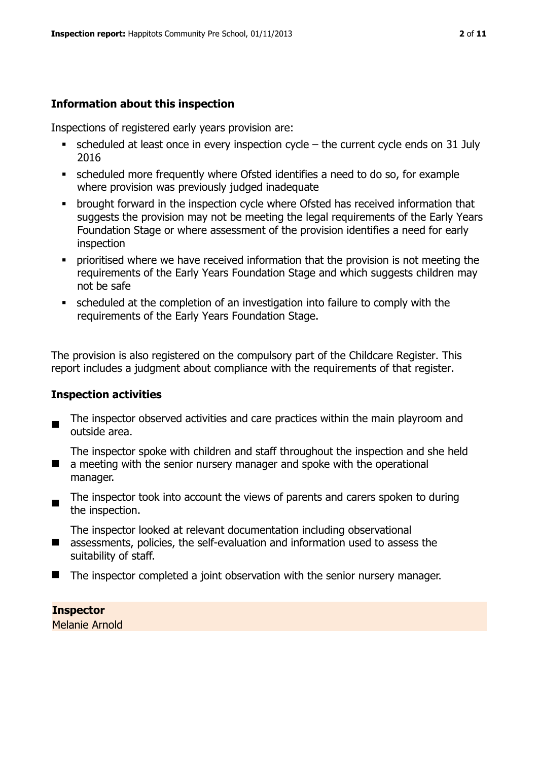# **Information about this inspection**

Inspections of registered early years provision are:

- $\bullet$  scheduled at least once in every inspection cycle the current cycle ends on 31 July 2016
- scheduled more frequently where Ofsted identifies a need to do so, for example where provision was previously judged inadequate
- **•** brought forward in the inspection cycle where Ofsted has received information that suggests the provision may not be meeting the legal requirements of the Early Years Foundation Stage or where assessment of the provision identifies a need for early inspection
- **•** prioritised where we have received information that the provision is not meeting the requirements of the Early Years Foundation Stage and which suggests children may not be safe
- scheduled at the completion of an investigation into failure to comply with the requirements of the Early Years Foundation Stage.

The provision is also registered on the compulsory part of the Childcare Register. This report includes a judgment about compliance with the requirements of that register.

# **Inspection activities**

 $\blacksquare$ The inspector observed activities and care practices within the main playroom and outside area.

The inspector spoke with children and staff throughout the inspection and she held

- a meeting with the senior nursery manager and spoke with the operational manager.
- $\blacksquare$ The inspector took into account the views of parents and carers spoken to during the inspection.

The inspector looked at relevant documentation including observational

- assessments, policies, the self-evaluation and information used to assess the suitability of staff.
- The inspector completed a joint observation with the senior nursery manager.

**Inspector**  Melanie Arnold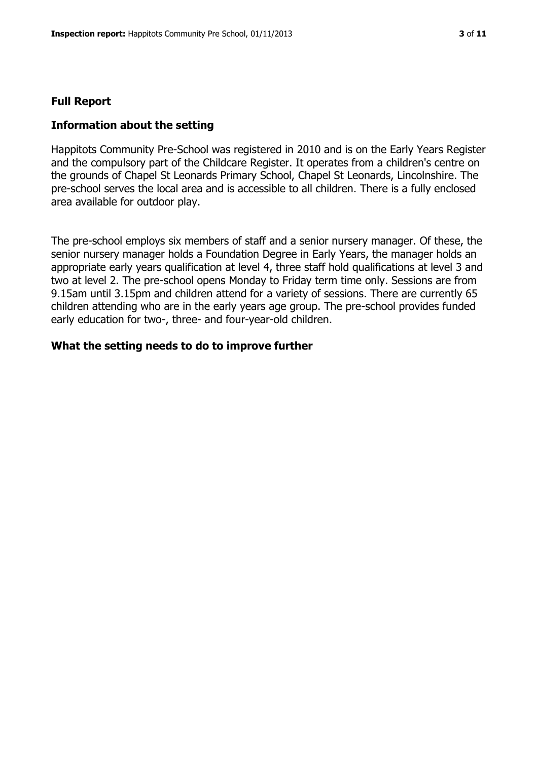#### **Full Report**

#### **Information about the setting**

Happitots Community Pre-School was registered in 2010 and is on the Early Years Register and the compulsory part of the Childcare Register. It operates from a children's centre on the grounds of Chapel St Leonards Primary School, Chapel St Leonards, Lincolnshire. The pre-school serves the local area and is accessible to all children. There is a fully enclosed area available for outdoor play.

The pre-school employs six members of staff and a senior nursery manager. Of these, the senior nursery manager holds a Foundation Degree in Early Years, the manager holds an appropriate early years qualification at level 4, three staff hold qualifications at level 3 and two at level 2. The pre-school opens Monday to Friday term time only. Sessions are from 9.15am until 3.15pm and children attend for a variety of sessions. There are currently 65 children attending who are in the early years age group. The pre-school provides funded early education for two-, three- and four-year-old children.

#### **What the setting needs to do to improve further**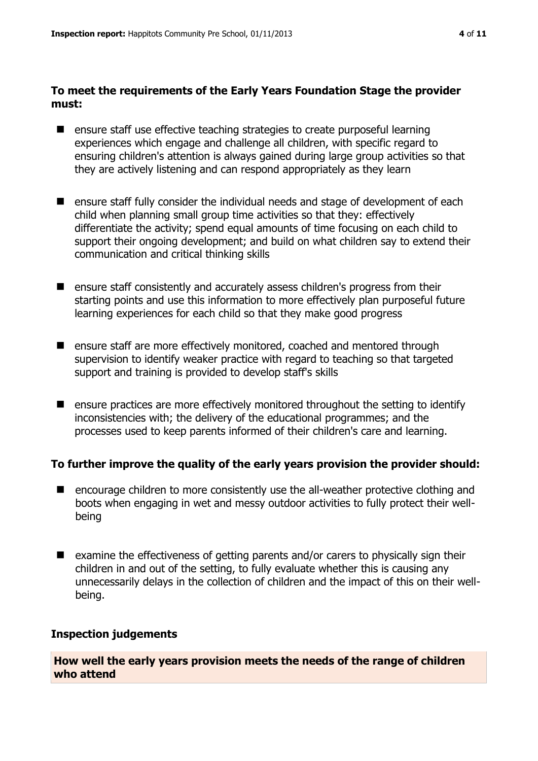#### **To meet the requirements of the Early Years Foundation Stage the provider must:**

- ensure staff use effective teaching strategies to create purposeful learning experiences which engage and challenge all children, with specific regard to ensuring children's attention is always gained during large group activities so that they are actively listening and can respond appropriately as they learn
- ensure staff fully consider the individual needs and stage of development of each child when planning small group time activities so that they: effectively differentiate the activity; spend equal amounts of time focusing on each child to support their ongoing development; and build on what children say to extend their communication and critical thinking skills
- ensure staff consistently and accurately assess children's progress from their starting points and use this information to more effectively plan purposeful future learning experiences for each child so that they make good progress
- ensure staff are more effectively monitored, coached and mentored through supervision to identify weaker practice with regard to teaching so that targeted support and training is provided to develop staff's skills
- $\blacksquare$  ensure practices are more effectively monitored throughout the setting to identify inconsistencies with; the delivery of the educational programmes; and the processes used to keep parents informed of their children's care and learning.

# **To further improve the quality of the early years provision the provider should:**

- encourage children to more consistently use the all-weather protective clothing and boots when engaging in wet and messy outdoor activities to fully protect their wellbeing
- examine the effectiveness of getting parents and/or carers to physically sign their children in and out of the setting, to fully evaluate whether this is causing any unnecessarily delays in the collection of children and the impact of this on their wellbeing.

# **Inspection judgements**

**How well the early years provision meets the needs of the range of children who attend**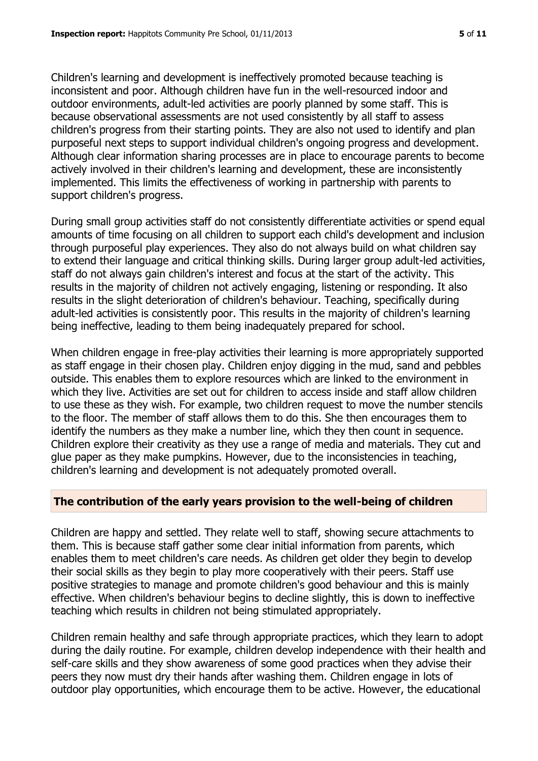Children's learning and development is ineffectively promoted because teaching is inconsistent and poor. Although children have fun in the well-resourced indoor and outdoor environments, adult-led activities are poorly planned by some staff. This is because observational assessments are not used consistently by all staff to assess children's progress from their starting points. They are also not used to identify and plan purposeful next steps to support individual children's ongoing progress and development. Although clear information sharing processes are in place to encourage parents to become actively involved in their children's learning and development, these are inconsistently implemented. This limits the effectiveness of working in partnership with parents to support children's progress.

During small group activities staff do not consistently differentiate activities or spend equal amounts of time focusing on all children to support each child's development and inclusion through purposeful play experiences. They also do not always build on what children say to extend their language and critical thinking skills. During larger group adult-led activities, staff do not always gain children's interest and focus at the start of the activity. This results in the majority of children not actively engaging, listening or responding. It also results in the slight deterioration of children's behaviour. Teaching, specifically during adult-led activities is consistently poor. This results in the majority of children's learning being ineffective, leading to them being inadequately prepared for school.

When children engage in free-play activities their learning is more appropriately supported as staff engage in their chosen play. Children enjoy digging in the mud, sand and pebbles outside. This enables them to explore resources which are linked to the environment in which they live. Activities are set out for children to access inside and staff allow children to use these as they wish. For example, two children request to move the number stencils to the floor. The member of staff allows them to do this. She then encourages them to identify the numbers as they make a number line, which they then count in sequence. Children explore their creativity as they use a range of media and materials. They cut and glue paper as they make pumpkins. However, due to the inconsistencies in teaching, children's learning and development is not adequately promoted overall.

#### **The contribution of the early years provision to the well-being of children**

Children are happy and settled. They relate well to staff, showing secure attachments to them. This is because staff gather some clear initial information from parents, which enables them to meet children's care needs. As children get older they begin to develop their social skills as they begin to play more cooperatively with their peers. Staff use positive strategies to manage and promote children's good behaviour and this is mainly effective. When children's behaviour begins to decline slightly, this is down to ineffective teaching which results in children not being stimulated appropriately.

Children remain healthy and safe through appropriate practices, which they learn to adopt during the daily routine. For example, children develop independence with their health and self-care skills and they show awareness of some good practices when they advise their peers they now must dry their hands after washing them. Children engage in lots of outdoor play opportunities, which encourage them to be active. However, the educational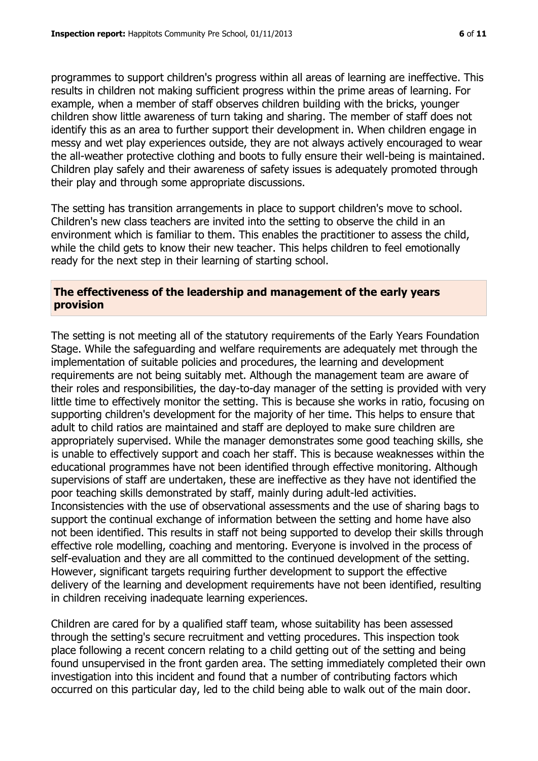programmes to support children's progress within all areas of learning are ineffective. This results in children not making sufficient progress within the prime areas of learning. For example, when a member of staff observes children building with the bricks, younger children show little awareness of turn taking and sharing. The member of staff does not identify this as an area to further support their development in. When children engage in messy and wet play experiences outside, they are not always actively encouraged to wear the all-weather protective clothing and boots to fully ensure their well-being is maintained. Children play safely and their awareness of safety issues is adequately promoted through their play and through some appropriate discussions.

The setting has transition arrangements in place to support children's move to school. Children's new class teachers are invited into the setting to observe the child in an environment which is familiar to them. This enables the practitioner to assess the child, while the child gets to know their new teacher. This helps children to feel emotionally ready for the next step in their learning of starting school.

#### **The effectiveness of the leadership and management of the early years provision**

The setting is not meeting all of the statutory requirements of the Early Years Foundation Stage. While the safeguarding and welfare requirements are adequately met through the implementation of suitable policies and procedures, the learning and development requirements are not being suitably met. Although the management team are aware of their roles and responsibilities, the day-to-day manager of the setting is provided with very little time to effectively monitor the setting. This is because she works in ratio, focusing on supporting children's development for the majority of her time. This helps to ensure that adult to child ratios are maintained and staff are deployed to make sure children are appropriately supervised. While the manager demonstrates some good teaching skills, she is unable to effectively support and coach her staff. This is because weaknesses within the educational programmes have not been identified through effective monitoring. Although supervisions of staff are undertaken, these are ineffective as they have not identified the poor teaching skills demonstrated by staff, mainly during adult-led activities. Inconsistencies with the use of observational assessments and the use of sharing bags to support the continual exchange of information between the setting and home have also not been identified. This results in staff not being supported to develop their skills through effective role modelling, coaching and mentoring. Everyone is involved in the process of self-evaluation and they are all committed to the continued development of the setting. However, significant targets requiring further development to support the effective delivery of the learning and development requirements have not been identified, resulting in children receiving inadequate learning experiences.

Children are cared for by a qualified staff team, whose suitability has been assessed through the setting's secure recruitment and vetting procedures. This inspection took place following a recent concern relating to a child getting out of the setting and being found unsupervised in the front garden area. The setting immediately completed their own investigation into this incident and found that a number of contributing factors which occurred on this particular day, led to the child being able to walk out of the main door.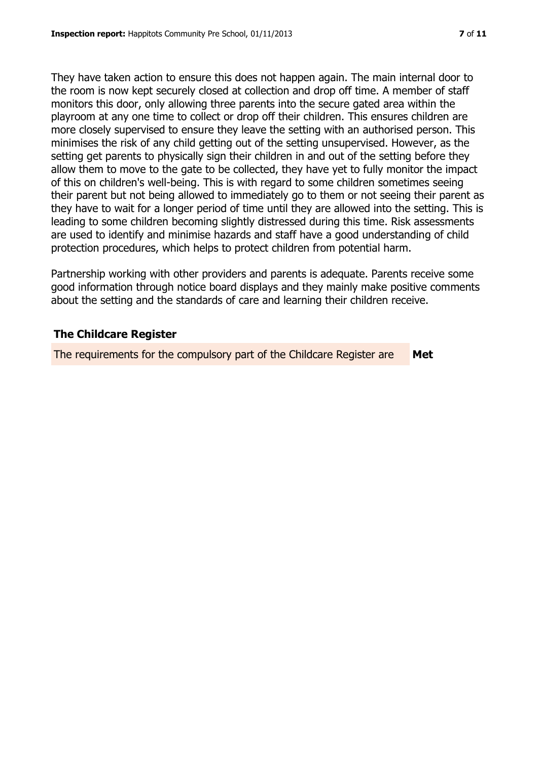They have taken action to ensure this does not happen again. The main internal door to the room is now kept securely closed at collection and drop off time. A member of staff monitors this door, only allowing three parents into the secure gated area within the playroom at any one time to collect or drop off their children. This ensures children are more closely supervised to ensure they leave the setting with an authorised person. This minimises the risk of any child getting out of the setting unsupervised. However, as the setting get parents to physically sign their children in and out of the setting before they allow them to move to the gate to be collected, they have yet to fully monitor the impact of this on children's well-being. This is with regard to some children sometimes seeing their parent but not being allowed to immediately go to them or not seeing their parent as they have to wait for a longer period of time until they are allowed into the setting. This is leading to some children becoming slightly distressed during this time. Risk assessments are used to identify and minimise hazards and staff have a good understanding of child protection procedures, which helps to protect children from potential harm.

Partnership working with other providers and parents is adequate. Parents receive some good information through notice board displays and they mainly make positive comments about the setting and the standards of care and learning their children receive.

# **The Childcare Register**

The requirements for the compulsory part of the Childcare Register are **Met**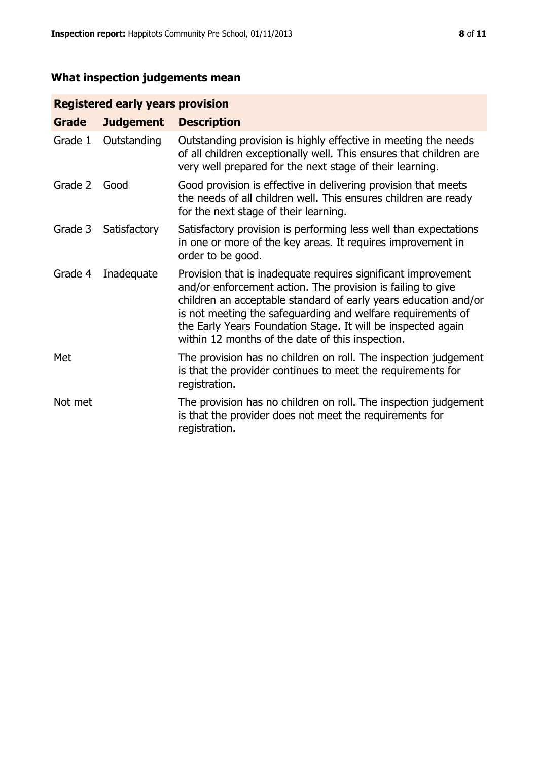# **What inspection judgements mean**

# **Registered early years provision**

| Grade   | <b>Judgement</b> | <b>Description</b>                                                                                                                                                                                                                                                                                                                                                                 |
|---------|------------------|------------------------------------------------------------------------------------------------------------------------------------------------------------------------------------------------------------------------------------------------------------------------------------------------------------------------------------------------------------------------------------|
| Grade 1 | Outstanding      | Outstanding provision is highly effective in meeting the needs<br>of all children exceptionally well. This ensures that children are<br>very well prepared for the next stage of their learning.                                                                                                                                                                                   |
| Grade 2 | Good             | Good provision is effective in delivering provision that meets<br>the needs of all children well. This ensures children are ready<br>for the next stage of their learning.                                                                                                                                                                                                         |
| Grade 3 | Satisfactory     | Satisfactory provision is performing less well than expectations<br>in one or more of the key areas. It requires improvement in<br>order to be good.                                                                                                                                                                                                                               |
| Grade 4 | Inadequate       | Provision that is inadequate requires significant improvement<br>and/or enforcement action. The provision is failing to give<br>children an acceptable standard of early years education and/or<br>is not meeting the safeguarding and welfare requirements of<br>the Early Years Foundation Stage. It will be inspected again<br>within 12 months of the date of this inspection. |
| Met     |                  | The provision has no children on roll. The inspection judgement<br>is that the provider continues to meet the requirements for<br>registration.                                                                                                                                                                                                                                    |
| Not met |                  | The provision has no children on roll. The inspection judgement<br>is that the provider does not meet the requirements for<br>registration.                                                                                                                                                                                                                                        |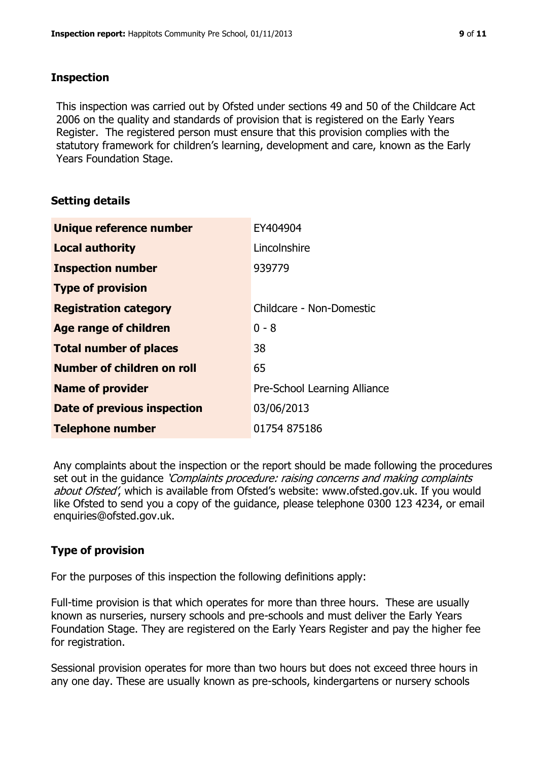#### **Inspection**

This inspection was carried out by Ofsted under sections 49 and 50 of the Childcare Act 2006 on the quality and standards of provision that is registered on the Early Years Register. The registered person must ensure that this provision complies with the statutory framework for children's learning, development and care, known as the Early Years Foundation Stage.

# **Setting details**

| Unique reference number            | EY404904                     |  |
|------------------------------------|------------------------------|--|
| <b>Local authority</b>             | Lincolnshire                 |  |
| <b>Inspection number</b>           | 939779                       |  |
| <b>Type of provision</b>           |                              |  |
| <b>Registration category</b>       | Childcare - Non-Domestic     |  |
| Age range of children              | $0 - 8$                      |  |
| <b>Total number of places</b>      | 38                           |  |
| Number of children on roll         | 65                           |  |
| <b>Name of provider</b>            | Pre-School Learning Alliance |  |
| <b>Date of previous inspection</b> | 03/06/2013                   |  |
| <b>Telephone number</b>            | 01754 875186                 |  |

Any complaints about the inspection or the report should be made following the procedures set out in the guidance *'Complaints procedure: raising concerns and making complaints* about Ofsted', which is available from Ofsted's website: www.ofsted.gov.uk. If you would like Ofsted to send you a copy of the guidance, please telephone 0300 123 4234, or email enquiries@ofsted.gov.uk.

# **Type of provision**

For the purposes of this inspection the following definitions apply:

Full-time provision is that which operates for more than three hours. These are usually known as nurseries, nursery schools and pre-schools and must deliver the Early Years Foundation Stage. They are registered on the Early Years Register and pay the higher fee for registration.

Sessional provision operates for more than two hours but does not exceed three hours in any one day. These are usually known as pre-schools, kindergartens or nursery schools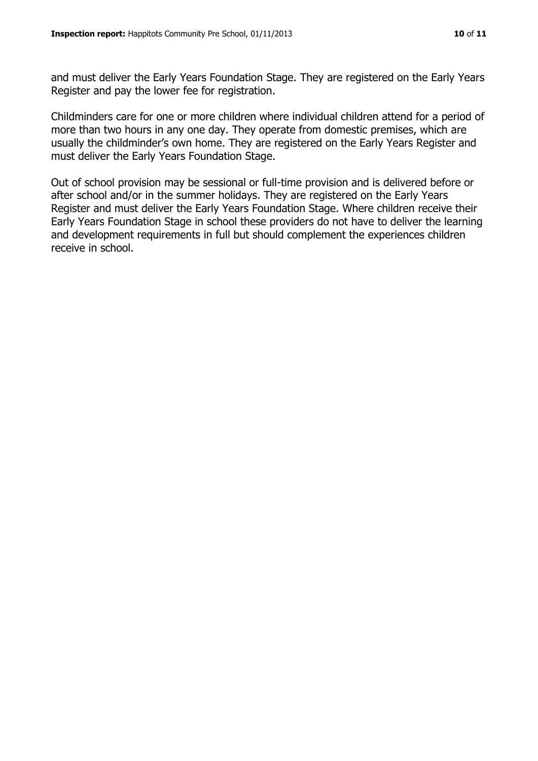and must deliver the Early Years Foundation Stage. They are registered on the Early Years Register and pay the lower fee for registration.

Childminders care for one or more children where individual children attend for a period of more than two hours in any one day. They operate from domestic premises, which are usually the childminder's own home. They are registered on the Early Years Register and must deliver the Early Years Foundation Stage.

Out of school provision may be sessional or full-time provision and is delivered before or after school and/or in the summer holidays. They are registered on the Early Years Register and must deliver the Early Years Foundation Stage. Where children receive their Early Years Foundation Stage in school these providers do not have to deliver the learning and development requirements in full but should complement the experiences children receive in school.